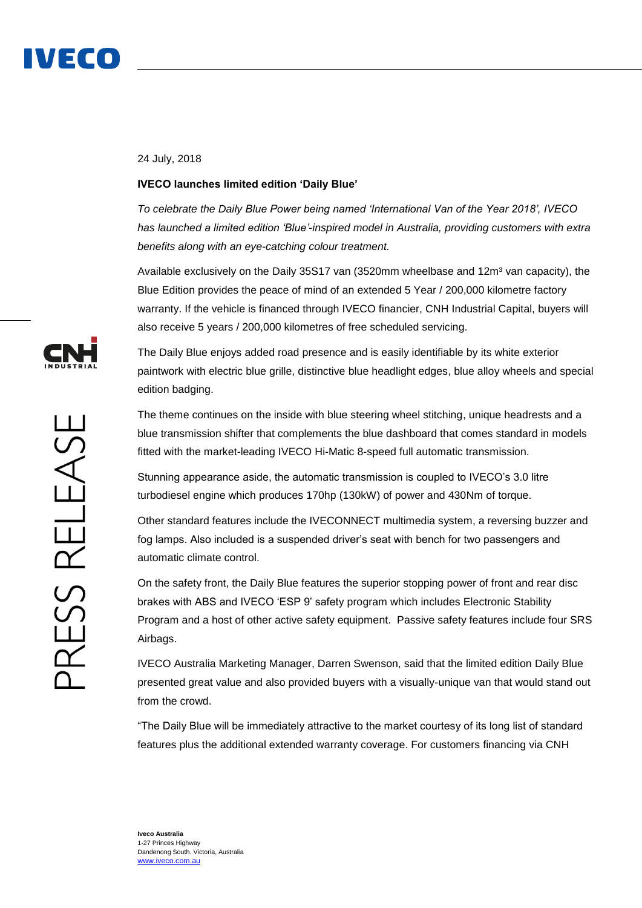

## 24 July, 2018

## **IVECO launches limited edition 'Daily Blue'**

*To celebrate the Daily Blue Power being named 'International Van of the Year 2018', IVECO has launched a limited edition 'Blue'-inspired model in Australia, providing customers with extra benefits along with an eye-catching colour treatment.* 

Available exclusively on the Daily 35S17 van (3520mm wheelbase and 12m<sup>3</sup> van capacity), the Blue Edition provides the peace of mind of an extended 5 Year / 200,000 kilometre factory warranty. If the vehicle is financed through IVECO financier, CNH Industrial Capital, buyers will also receive 5 years / 200,000 kilometres of free scheduled servicing.

The Daily Blue enjoys added road presence and is easily identifiable by its white exterior paintwork with electric blue grille, distinctive blue headlight edges, blue alloy wheels and special edition badging.

The theme continues on the inside with blue steering wheel stitching, unique headrests and a blue transmission shifter that complements the blue dashboard that comes standard in models fitted with the market-leading IVECO Hi-Matic 8-speed full automatic transmission.

Stunning appearance aside, the automatic transmission is coupled to IVECO's 3.0 litre turbodiesel engine which produces 170hp (130kW) of power and 430Nm of torque.

Other standard features include the IVECONNECT multimedia system, a reversing buzzer and fog lamps. Also included is a suspended driver's seat with bench for two passengers and automatic climate control.

On the safety front, the Daily Blue features the superior stopping power of front and rear disc brakes with ABS and IVECO 'ESP 9' safety program which includes Electronic Stability Program and a host of other active safety equipment. Passive safety features include four SRS Airbags.

IVECO Australia Marketing Manager, Darren Swenson, said that the limited edition Daily Blue presented great value and also provided buyers with a visually-unique van that would stand out from the crowd.

"The Daily Blue will be immediately attractive to the market courtesy of its long list of standard features plus the additional extended warranty coverage. For customers financing via CNH